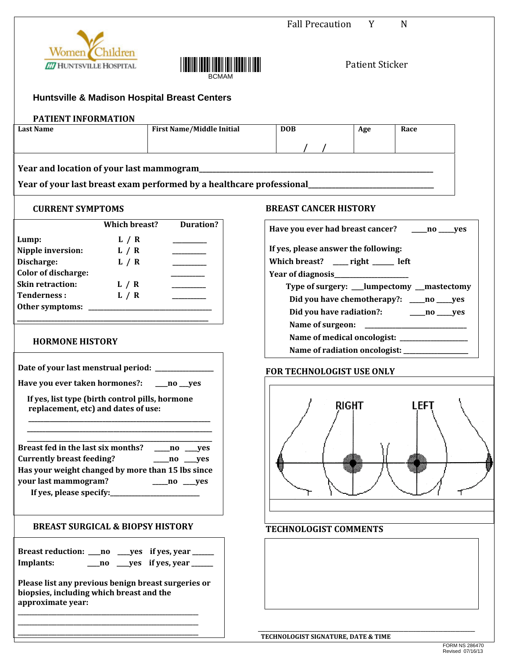|                                                                                                                                                                                                                                                                                                                                                                                                                                                                                                                                            |                  | <b>Fall Precaution</b>                                                                    | Y                      | N                                            |
|--------------------------------------------------------------------------------------------------------------------------------------------------------------------------------------------------------------------------------------------------------------------------------------------------------------------------------------------------------------------------------------------------------------------------------------------------------------------------------------------------------------------------------------------|------------------|-------------------------------------------------------------------------------------------|------------------------|----------------------------------------------|
| Women<br>Children<br><b>ET HUNTSVILLE HOSPITAL</b>                                                                                                                                                                                                                                                                                                                                                                                                                                                                                         |                  |                                                                                           | <b>Patient Sticker</b> |                                              |
| <b>Huntsville &amp; Madison Hospital Breast Centers</b>                                                                                                                                                                                                                                                                                                                                                                                                                                                                                    |                  |                                                                                           |                        |                                              |
| PATIENT INFORMATION                                                                                                                                                                                                                                                                                                                                                                                                                                                                                                                        |                  |                                                                                           |                        |                                              |
| <b>First Name/Middle Initial</b><br><b>Last Name</b>                                                                                                                                                                                                                                                                                                                                                                                                                                                                                       |                  | <b>DOB</b>                                                                                | Age                    | Race                                         |
|                                                                                                                                                                                                                                                                                                                                                                                                                                                                                                                                            |                  |                                                                                           |                        |                                              |
|                                                                                                                                                                                                                                                                                                                                                                                                                                                                                                                                            |                  |                                                                                           |                        |                                              |
| Year of your last breast exam performed by a healthcare professional<br>                                                                                                                                                                                                                                                                                                                                                                                                                                                                   |                  |                                                                                           |                        |                                              |
| <b>CURRENT SYMPTOMS</b>                                                                                                                                                                                                                                                                                                                                                                                                                                                                                                                    |                  | <b>BREAST CANCER HISTORY</b>                                                              |                        |                                              |
| Which breast?                                                                                                                                                                                                                                                                                                                                                                                                                                                                                                                              | <b>Duration?</b> | Have you ever had breast cancer? ______ no _____ yes                                      |                        |                                              |
| Lump:<br>L/R                                                                                                                                                                                                                                                                                                                                                                                                                                                                                                                               |                  |                                                                                           |                        |                                              |
| Nipple inversion: $L / R$<br>Discharge:<br>L / R<br>$\begin{array}{cccccccccc} \multicolumn{2}{c}{} & \multicolumn{2}{c}{} & \multicolumn{2}{c}{} & \multicolumn{2}{c}{} & \multicolumn{2}{c}{} & \multicolumn{2}{c}{} & \multicolumn{2}{c}{} & \multicolumn{2}{c}{} & \multicolumn{2}{c}{} & \multicolumn{2}{c}{} & \multicolumn{2}{c}{} & \multicolumn{2}{c}{} & \multicolumn{2}{c}{} & \multicolumn{2}{c}{} & \multicolumn{2}{c}{} & \multicolumn{2}{c}{} & \multicolumn{2}{c}{} & \multicolumn{2}{c}{} & \multicolumn{2}{c}{} & \mult$ |                  | If yes, please answer the following:<br>Which breast? ___ right ____ left                 |                        |                                              |
| <b>Color of discharge:</b>                                                                                                                                                                                                                                                                                                                                                                                                                                                                                                                 |                  |                                                                                           |                        |                                              |
| Skin retraction: L / R                                                                                                                                                                                                                                                                                                                                                                                                                                                                                                                     |                  |                                                                                           |                        |                                              |
| <b>Tenderness:</b><br>L / R                                                                                                                                                                                                                                                                                                                                                                                                                                                                                                                |                  | Type of surgery: ___lumpectomy __mastectomy<br>Did you have chemotherapy?: ____no ____yes |                        |                                              |
|                                                                                                                                                                                                                                                                                                                                                                                                                                                                                                                                            |                  |                                                                                           |                        |                                              |
|                                                                                                                                                                                                                                                                                                                                                                                                                                                                                                                                            |                  |                                                                                           |                        |                                              |
|                                                                                                                                                                                                                                                                                                                                                                                                                                                                                                                                            |                  |                                                                                           |                        | Name of medical oncologist: ________________ |
| <b>HORMONE HISTORY</b>                                                                                                                                                                                                                                                                                                                                                                                                                                                                                                                     |                  |                                                                                           |                        |                                              |
| Date of your last menstrual period: ____________                                                                                                                                                                                                                                                                                                                                                                                                                                                                                           |                  | FOR TECHNOLOGIST USE ONLY                                                                 |                        |                                              |
| Have you ever taken hormones?:<br>__no __yes                                                                                                                                                                                                                                                                                                                                                                                                                                                                                               |                  |                                                                                           |                        |                                              |
| If yes, list type (birth control pills, hormone<br>replacement, etc) and dates of use:                                                                                                                                                                                                                                                                                                                                                                                                                                                     |                  | RIGHT                                                                                     |                        | l FF.                                        |
| Breast fed in the last six months? _____ no ____ yes<br><b>Currently breast feeding?</b><br>$\_\_$ no $\_\_$ yes<br>Has your weight changed by more than 15 lbs since<br>your last mammogram?<br>$\_\_$ no $\_\_$ yes                                                                                                                                                                                                                                                                                                                      |                  |                                                                                           |                        |                                              |
| <b>BREAST SURGICAL &amp; BIOPSY HISTORY</b>                                                                                                                                                                                                                                                                                                                                                                                                                                                                                                |                  | <b>TECHNOLOGIST COMMENTS</b>                                                              |                        |                                              |
| Breast reduction: ___ no ___ yes if yes, year _____<br>___no ___yes if yes, year _____<br>Implants:                                                                                                                                                                                                                                                                                                                                                                                                                                        |                  |                                                                                           |                        |                                              |
| Please list any previous benign breast surgeries or<br>biopsies, including which breast and the<br>approximate year:                                                                                                                                                                                                                                                                                                                                                                                                                       |                  |                                                                                           |                        |                                              |
|                                                                                                                                                                                                                                                                                                                                                                                                                                                                                                                                            |                  |                                                                                           |                        |                                              |
|                                                                                                                                                                                                                                                                                                                                                                                                                                                                                                                                            |                  | TECHNOLOGIST SIGNATURE, DATE & TIME                                                       |                        |                                              |